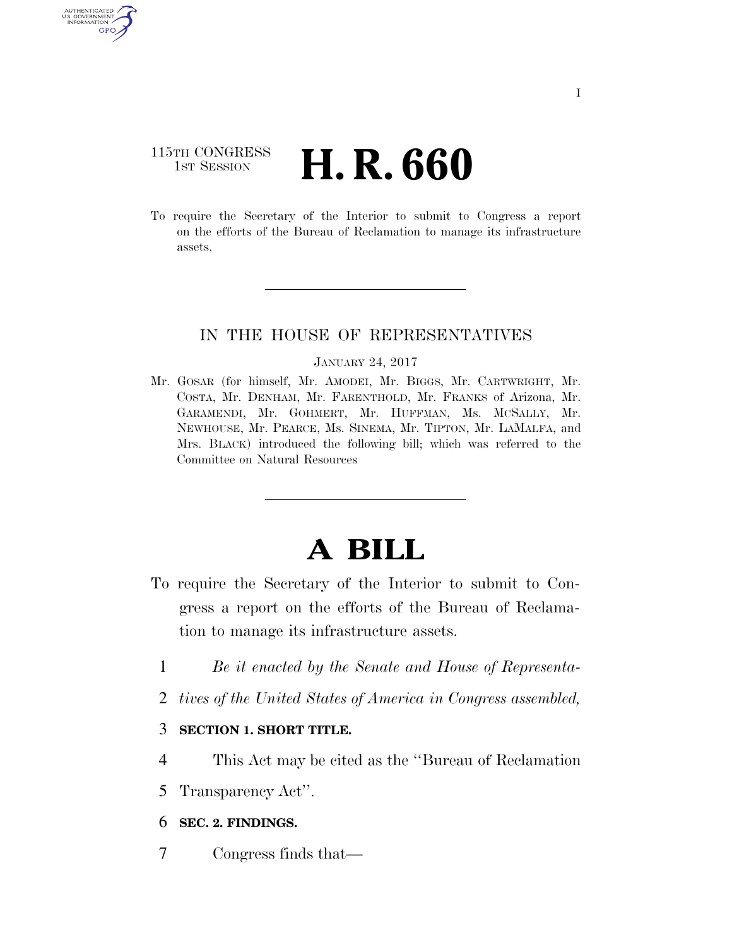## 115TH CONGRESS **1st Session H. R. 660**

U.S. GOVERNMENT GPO

> To require the Secretary of the Interior to submit to Congress a report on the efforts of the Bureau of Reclamation to manage its infrastructure assets.

### IN THE HOUSE OF REPRESENTATIVES

#### JANUARY 24, 2017

Mr. GOSAR (for himself, Mr. AMODEI, Mr. BIGGS, Mr. CARTWRIGHT, Mr. COSTA, Mr. DENHAM, Mr. FARENTHOLD, Mr. FRANKS of Arizona, Mr. GARAMENDI, Mr. GOHMERT, Mr. HUFFMAN, Ms. MCSALLY, Mr. NEWHOUSE, Mr. PEARCE, Ms. SINEMA, Mr. TIPTON, Mr. LAMALFA, and Mrs. BLACK) introduced the following bill; which was referred to the Committee on Natural Resources

# **A BILL**

- To require the Secretary of the Interior to submit to Congress a report on the efforts of the Bureau of Reclamation to manage its infrastructure assets.
	- 1 *Be it enacted by the Senate and House of Representa-*
	- 2 *tives of the United States of America in Congress assembled,*

### 3 **SECTION 1. SHORT TITLE.**

- 4 This Act may be cited as the ''Bureau of Reclamation
- 5 Transparency Act''.

### 6 **SEC. 2. FINDINGS.**

7 Congress finds that—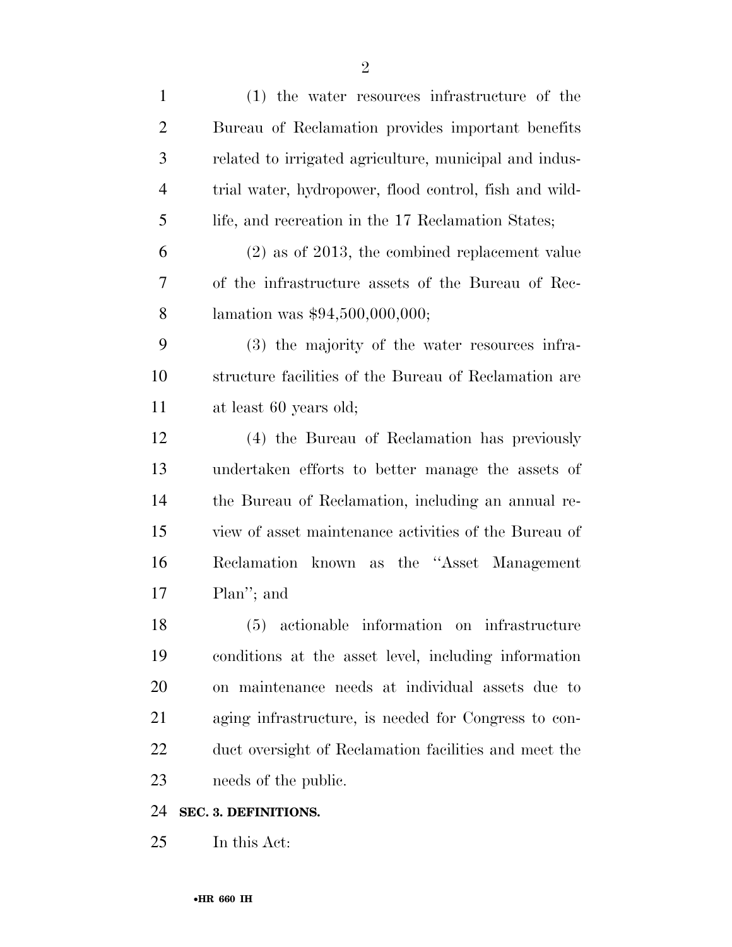| $\mathbf{1}$   | (1) the water resources infrastructure of the          |
|----------------|--------------------------------------------------------|
| $\overline{2}$ | Bureau of Reclamation provides important benefits      |
| 3              | related to irrigated agriculture, municipal and indus- |
| $\overline{4}$ | trial water, hydropower, flood control, fish and wild- |
| 5              | life, and recreation in the 17 Reclamation States;     |
| 6              | $(2)$ as of 2013, the combined replacement value       |
| 7              | of the infrastructure assets of the Bureau of Rec-     |
| 8              | lamation was $$94,500,000,000;$                        |
| 9              | (3) the majority of the water resources infra-         |
| 10             | structure facilities of the Bureau of Reclamation are  |
| 11             | at least 60 years old;                                 |
| 12             | (4) the Bureau of Reclamation has previously           |
| 13             | undertaken efforts to better manage the assets of      |
| 14             | the Bureau of Reclamation, including an annual re-     |
| 15             | view of asset maintenance activities of the Bureau of  |
| 16             | Reclamation known as the "Asset Management"            |
| 17             | Plan"; and                                             |
| 18             | actionable information on<br>(5)<br>infrastructure     |
| 19             | conditions at the asset level, including information   |
| 20             | on maintenance needs at individual assets due to       |
| 21             | aging infrastructure, is needed for Congress to con-   |
| 22             | duct oversight of Reclamation facilities and meet the  |
| 23             | needs of the public.                                   |
| 24             | SEC. 3. DEFINITIONS.                                   |
| 25             | In this Act:                                           |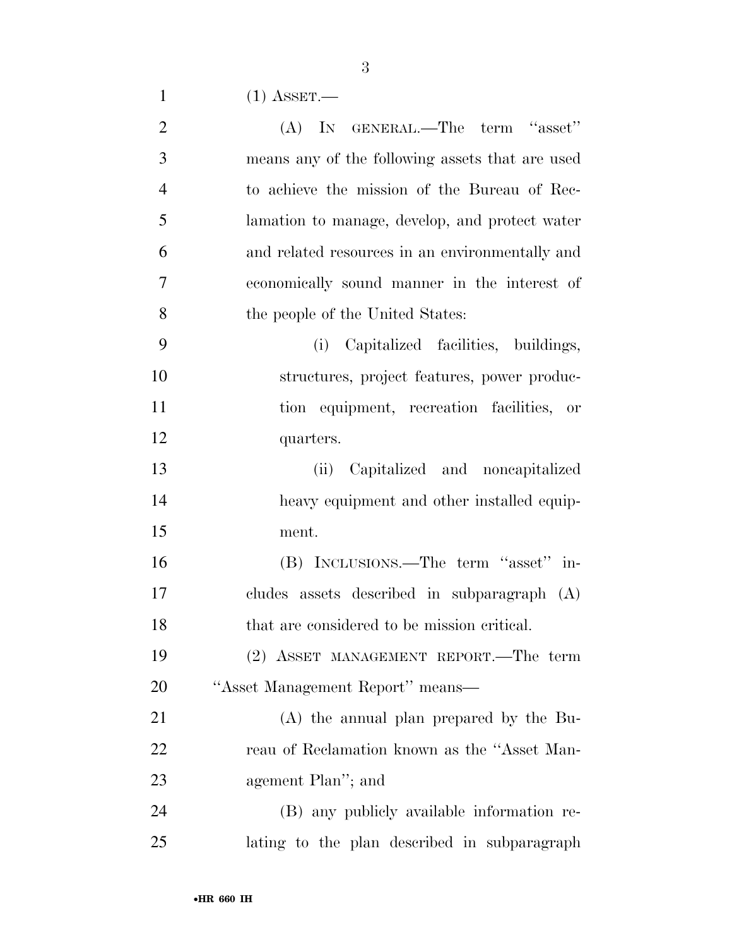| $(1)$ ASSET. |
|--------------|
|              |

| $\overline{2}$ | (A) IN GENERAL.—The term "asset"                |
|----------------|-------------------------------------------------|
| 3              | means any of the following assets that are used |
| $\overline{4}$ | to achieve the mission of the Bureau of Rec-    |
| 5              | lamation to manage, develop, and protect water  |
| 6              | and related resources in an environmentally and |
| $\overline{7}$ | economically sound manner in the interest of    |
| 8              | the people of the United States:                |
| 9              | (i) Capitalized facilities, buildings,          |
| 10             | structures, project features, power produc-     |
| 11             | tion equipment, recreation facilities, or       |
| 12             | quarters.                                       |
| 13             | (ii) Capitalized and noncapitalized             |
| 14             | heavy equipment and other installed equip-      |
| 15             | ment.                                           |
| 16             | (B) INCLUSIONS.—The term "asset" in-            |
| 17             | cludes assets described in subparagraph (A)     |
| 18             | that are considered to be mission critical.     |
| 19             | (2) ASSET MANAGEMENT REPORT.—The term           |
| 20             | "Asset Management Report" means-                |
| 21             | (A) the annual plan prepared by the Bu-         |
| 22             | reau of Reclamation known as the "Asset Man-    |
| 23             | agement Plan"; and                              |
| 24             | (B) any publicly available information re-      |
| 25             | lating to the plan described in subparagraph    |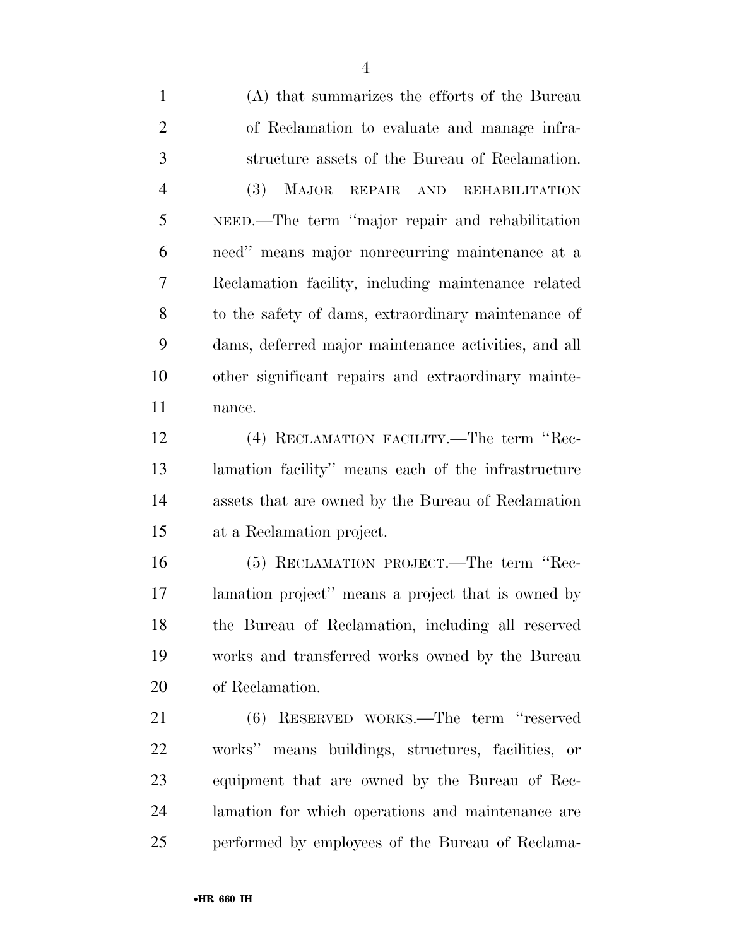(A) that summarizes the efforts of the Bureau of Reclamation to evaluate and manage infra- structure assets of the Bureau of Reclamation. (3) MAJOR REPAIR AND REHABILITATION NEED.—The term ''major repair and rehabilitation need'' means major nonrecurring maintenance at a Reclamation facility, including maintenance related to the safety of dams, extraordinary maintenance of dams, deferred major maintenance activities, and all other significant repairs and extraordinary mainte-nance.

 (4) RECLAMATION FACILITY.—The term ''Rec- lamation facility'' means each of the infrastructure assets that are owned by the Bureau of Reclamation at a Reclamation project.

 (5) RECLAMATION PROJECT.—The term ''Rec- lamation project'' means a project that is owned by the Bureau of Reclamation, including all reserved works and transferred works owned by the Bureau of Reclamation.

 (6) RESERVED WORKS.—The term ''reserved works'' means buildings, structures, facilities, or equipment that are owned by the Bureau of Rec- lamation for which operations and maintenance are performed by employees of the Bureau of Reclama-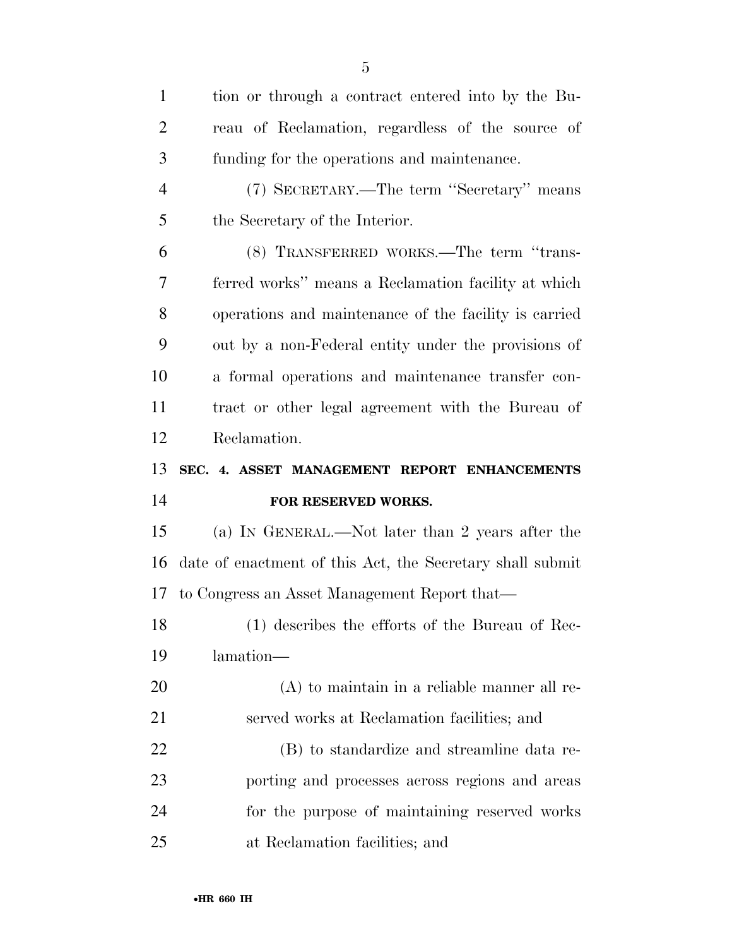| $\mathbf{1}$   | tion or through a contract entered into by the Bu-        |
|----------------|-----------------------------------------------------------|
| $\overline{2}$ | reau of Reclamation, regardless of the source of          |
| 3              | funding for the operations and maintenance.               |
| $\overline{4}$ | (7) SECRETARY.—The term "Secretary" means                 |
| 5              | the Secretary of the Interior.                            |
| 6              | (8) TRANSFERRED WORKS.—The term "trans-                   |
| 7              | ferred works" means a Reclamation facility at which       |
| 8              | operations and maintenance of the facility is carried     |
| 9              | out by a non-Federal entity under the provisions of       |
| 10             | a formal operations and maintenance transfer con-         |
| 11             | tract or other legal agreement with the Bureau of         |
| 12             | Reclamation.                                              |
|                |                                                           |
| 13             | SEC. 4. ASSET MANAGEMENT REPORT ENHANCEMENTS              |
| 14             | FOR RESERVED WORKS.                                       |
| 15             | (a) IN GENERAL.—Not later than 2 years after the          |
| 16             | date of enactment of this Act, the Secretary shall submit |
| 17             | to Congress an Asset Management Report that—              |
| 18             | (1) describes the efforts of the Bureau of Rec-           |
| 19             | lamation-                                                 |
| 20             | $(A)$ to maintain in a reliable manner all re-            |
| 21             | served works at Reclamation facilities; and               |
| 22             | (B) to standardize and streamline data re-                |
| 23             | porting and processes across regions and areas            |
| 24             | for the purpose of maintaining reserved works             |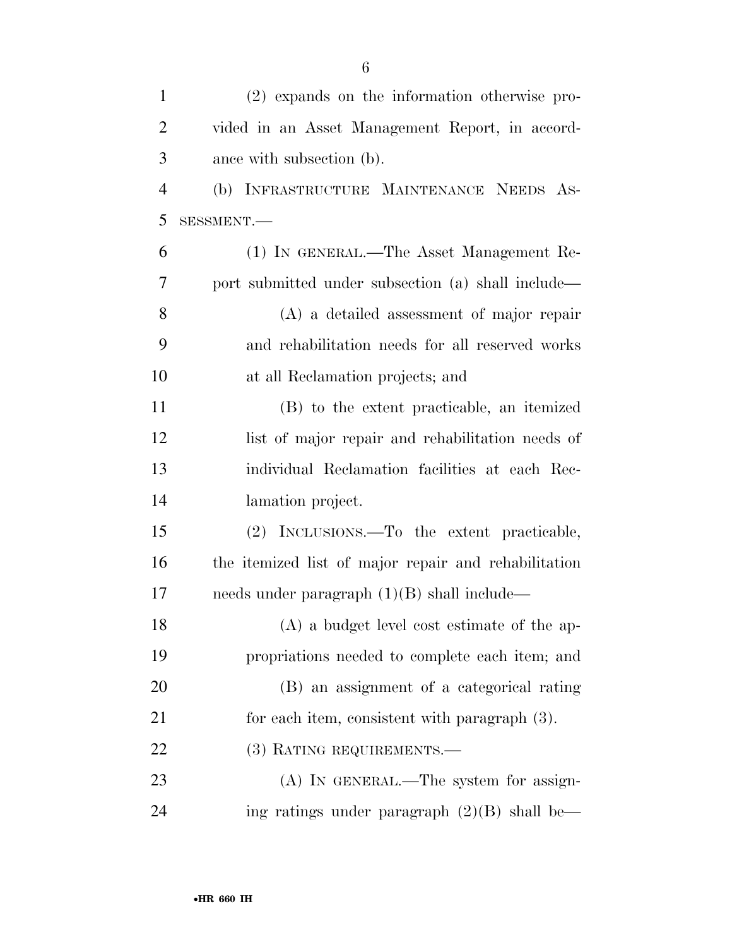| $\mathbf{1}$   | (2) expands on the information otherwise pro-        |
|----------------|------------------------------------------------------|
| $\overline{2}$ | vided in an Asset Management Report, in accord-      |
| 3              | ance with subsection (b).                            |
| $\overline{4}$ | (b) INFRASTRUCTURE MAINTENANCE NEEDS AS-             |
| 5              | SESSMENT.-                                           |
| 6              | (1) IN GENERAL.—The Asset Management Re-             |
| 7              | port submitted under subsection (a) shall include—   |
| 8              | $(A)$ a detailed assessment of major repair          |
| 9              | and rehabilitation needs for all reserved works      |
| 10             | at all Reclamation projects; and                     |
| 11             | (B) to the extent practicable, an itemized           |
| 12             | list of major repair and rehabilitation needs of     |
| 13             | individual Reclamation facilities at each Rec-       |
| 14             | lamation project.                                    |
| 15             | (2) INCLUSIONS.—To the extent practicable,           |
| 16             | the itemized list of major repair and rehabilitation |
| 17             | needs under paragraph $(1)(B)$ shall include—        |
| 18             | (A) a budget level cost estimate of the ap-          |
| 19             | propriations needed to complete each item; and       |
| 20             | (B) an assignment of a categorical rating            |
| 21             | for each item, consistent with paragraph (3).        |
| 22             | (3) RATING REQUIREMENTS.                             |
| 23             | $(A)$ In GENERAL.—The system for assign-             |
| 24             | ing ratings under paragraph $(2)(B)$ shall be—       |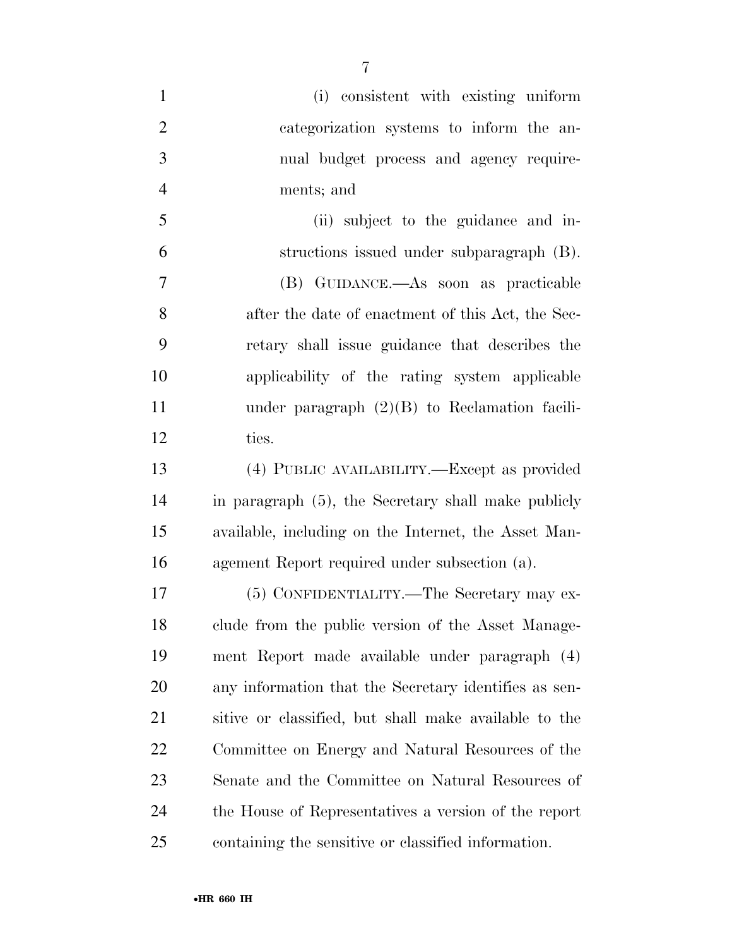| $\mathbf{1}$   | (i) consistent with existing uniform                  |
|----------------|-------------------------------------------------------|
| $\overline{2}$ | categorization systems to inform the an-              |
| 3              | nual budget process and agency require-               |
| $\overline{4}$ | ments; and                                            |
| 5              | (ii) subject to the guidance and in-                  |
| 6              | structions issued under subparagraph (B).             |
| $\overline{7}$ | (B) GUIDANCE.—As soon as practicable                  |
| 8              | after the date of enactment of this Act, the Sec-     |
| 9              | retary shall issue guidance that describes the        |
| 10             | applicability of the rating system applicable         |
| 11             | under paragraph $(2)(B)$ to Reclamation facili-       |
| 12             | ties.                                                 |
| 13             | (4) PUBLIC AVAILABILITY.—Except as provided           |
| 14             | in paragraph (5), the Secretary shall make publicly   |
| 15             | available, including on the Internet, the Asset Man-  |
| 16             | agement Report required under subsection (a).         |
| 17             | (5) CONFIDENTIALITY.—The Secretary may ex-            |
| 18             | clude from the public version of the Asset Manage-    |
| 19             | ment Report made available under paragraph (4)        |
| <b>20</b>      | any information that the Secretary identifies as sen- |
| 21             | sitive or classified, but shall make available to the |
| 22             | Committee on Energy and Natural Resources of the      |
| 23             | Senate and the Committee on Natural Resources of      |
| 24             | the House of Representatives a version of the report  |
| 25             | containing the sensitive or classified information.   |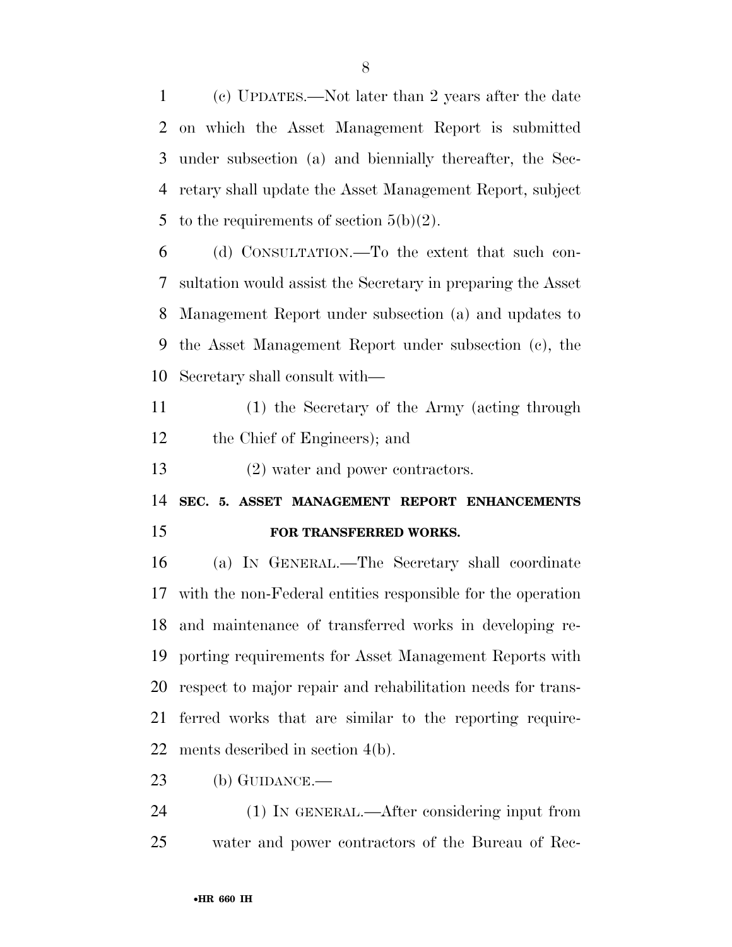(c) UPDATES.—Not later than 2 years after the date on which the Asset Management Report is submitted under subsection (a) and biennially thereafter, the Sec- retary shall update the Asset Management Report, subject 5 to the requirements of section  $5(b)(2)$ .

 (d) CONSULTATION.—To the extent that such con- sultation would assist the Secretary in preparing the Asset Management Report under subsection (a) and updates to the Asset Management Report under subsection (c), the Secretary shall consult with—

 (1) the Secretary of the Army (acting through the Chief of Engineers); and

(2) water and power contractors.

 **SEC. 5. ASSET MANAGEMENT REPORT ENHANCEMENTS FOR TRANSFERRED WORKS.** 

 (a) IN GENERAL.—The Secretary shall coordinate with the non-Federal entities responsible for the operation and maintenance of transferred works in developing re- porting requirements for Asset Management Reports with respect to major repair and rehabilitation needs for trans- ferred works that are similar to the reporting require-ments described in section 4(b).

(b) GUIDANCE.—

 (1) IN GENERAL.—After considering input from water and power contractors of the Bureau of Rec